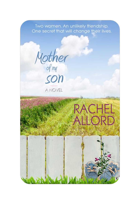

Mother<br>Son

**ANOVEL** 

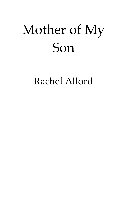# Mother of My Son

Rachel Allord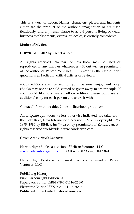This is a work of fiction. Names, characters, places, and incidents either are the product of the author's imagination or are used fictitiously, and any resemblance to actual persons living or dead, business establishments, events, or locales, is entirely coincidental.

#### **Mother of My Son**

#### **COPYRIGHT 2012 by Rachel Allord**

All rights reserved. No part of this book may be used or reproduced in any manner whatsoever without written permission of the author or Pelican Ventures, LLC except in the case of brief quotations embodied in critical articles or reviews.

eBook editions are licensed for your personal enjoyment only. eBooks may not be re-sold, copied or given away to other people. If you would like to share an eBook edition, please purchase an additional copy for each person you share it with.

Contact Information: titleadmin@pelicanbookgroup.com

All scripture quotations, unless otherwise indicated, are taken from the Holy Bible, New International Version<sup>(R),</sup> NIV<sup>(R),</sup> Copyright 1973, 1978, 1984 by Biblica, Inc.<sup>™</sup> Used by permission of Zondervan. All rights reserved worldwide. www.zondervan.com

Cover Art by *Nicola Martinez*

Harbourlight Books, a division of Pelican Ventures, LLC [www.pelicanbookgroup.com](http://www.pelicanbookgroup.com/) PO Box 1738 \*Aztec, NM \* 87410

Harbourlight Books sail and mast logo is a trademark of Pelican Ventures, LLC

Publishing History First Harbourlight Edition, 2013 Paperback Edition ISBN 978-1-61116-266-0 Electronic Edition ISBN 978-1-61116-265-3 **Published in the United States of America**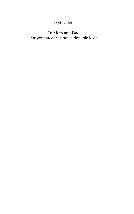#### Dedication

#### To Mom and Dad for your steady, unquestionable love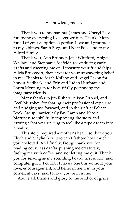#### Acknowledgements

Thank you to my parents, James and Cheryl Folz, for loving everything I've ever written. Thanks Mom, for all of your adoption expertise. Love and gratitude to my siblings, Sarah Biggs and Nate Folz, and to my Allord family.

Thank you, Ann Brunner, Jane Whitford, Abigail Wallace, and Stephanie Seefeldt, for enduring early drafts and cheering me on. I treasure your friendships. Alicia Bruxvoort, thank you for your unwavering belief in me. Thanks to Sarah Kolling and Angel Faxon for honest feedback, and Erin and Judah Huffman and Laura Menningen for beautifully portraying my imaginary friends.

Many thanks to Jim Rubart, Alison Strobel, and Cecil Murphey for sharing their professional expertise and nudging me forward, and to the staff at Pelican Book Group, particularly Fay Lamb and Nicola Martinez, for skillfully improving the story and turning what was starting to feel like a pipe dream into a reality.

This story required a mother's heart, so thank you Elijah and Maylie. You two can't fathom how much you are loved. And finally, Doug: thank you for reading countless drafts, pushing me creatively, fueling me with coffee, and not letting me quit. Thank you for serving as my sounding board, first editor, and computer guru. I couldn't have done this without your love, encouragement, and belief in me. I'm in your corner, always, and I know you're in mine.

Above all, thanks and glory to the Author of grace.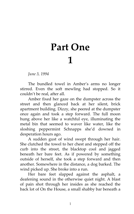## **Part One 1**

*June 3, 1994*

The bundled towel in Amber's arms no longer stirred. Even the soft mewling had stopped. So it couldn't be real, after all.

Amber fixed her gaze on the dumpster across the street and then glanced back at her silent, brick apartment building. Dizzy, she peered at the dumpster once again and took a step forward. The full moon hung above her like a watchful eye, illuminating the metal bin that seemed to waver like water, like the sloshing peppermint Schnapps she'd downed in desperation hours ago.

A sudden gust of wind swept through her hair. She clutched the towel to her chest and stepped off the curb into the street, the blacktop cool and jagged beneath her bare feet. As if powered by something outside of herself, she took a step forward and then another. Somewhere in the distance, a dog barked. The wind picked up. She broke into a run.

Her bare feet slapped against the asphalt, a deafening sound in the otherwise quiet night. A blast of pain shot through her insides as she reached the back lot of On the House, a small shabby bar beneath a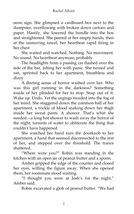neon sign. She glimpsed a cardboard box next to the dumpster, overflowing with broken down cartons and paper. Hastily, she lowered the bundle into the box and straightened. She peered at her empty hands, then at the unmoving towel, her heartbeat rapid firing in her chest

She waited and watched. Nothing. No movement. No sound. No heartbeat anymore, probably.

The headlights from a passing car flashed over the side of the bar, jolting her with panic. She turned and ran, sprinted back to her apartment, breathless and dizzy.

A fleeting sense of horror washed over her. Who was this girl running in the darkness? Something inside of her pleaded for her to stop. Snap out of it. Wake up. Undo. Yet the urgings receded into the fog of her mind. She staggered down the common hall of her apartment, a trickle of blood snaking down her thigh inside her sweat pants. A shower. That's what she needed—a long hot shower to wash away the horror of the night, torrents of water to obliterate the thing that couldn't have happened.

She watched her hand turn the doorknob to her apartment, a hand that seemed disconnected to the rest of her, and stepped over the threshold. The trance shattered.

'Where were you?' Robin was standing in the kitchen with an open jar of peanut butter and a spoon.

Amber gripped the edge of the counter and closed her eyes, willing the figure away. When she opened them, her roommate stood waiting.

'I thought you were at Josh's for the night,' Amber said.

Robin excavated a glob of peanut butter. 'We had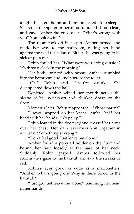a fight. I just got home, and I'm too ticked off to sleep.' She stuck the spoon in her mouth, pulled it out clean, and gave Amber the once over. 'What's wrong with you? You look awful.'

The room took off in a spin. Amber turned and made her way to the bathroom, raking her hand against the wall for balance. Either she was going to be sick or pass out.

Robin trailed her. 'What were you doing outside? It's three o'clock in the morning.'

Her body pricked with sweat, Amber stumbled into the bathroom and knelt before the toilet.

'Oh,' Robin said. 'You're drunk.' She disappeared down the hall.

Depleted, Amber wiped her mouth across the sleeve of her sweatshirt and plunked down on the floor.

Moments later, Robin reappeared. 'Whose party?'

Elbows propped on her knees, Amber held her head with her hands. 'No party.'

Robin leaned in the doorway and crossed her arms over her chest. Her dark eyebrows knit together in scrutiny. "Something's wrong."

'Don't feel good. Just leave me alone.'

Amber found a ponytail holder on the floor and bound her hair loosely at the base of her neck. Suddenly, Robin gasped. Amber followed her roommate's gaze to the bathtub and saw the streaks of red.

Robin's eyes grew as wide as a marionette's. 'Amber, what's going on? Why is there blood in the bathtub?'

'Just go. Just leave me alone.' She hung her head in her hands.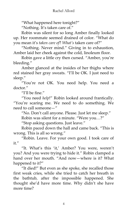'What happened here tonight?'

'Nothing. It's taken care of.'

Robin was silent for so long Amber finally looked up. Her roommate seemed drained of color. 'What do you mean it's *taken care of*? *What's* taken care of?'

'Nothing. Never mind.' Giving in to exhaustion, Amber laid her cheek against the cold, linoleum floor.

Robin gave a little cry then cursed. 'Amber, you're bleeding.'

Amber glanced at the insides of her thighs where red stained her gray sweats. 'I'll be OK. I just need to sleep.'

'You're not OK. You need help. You need a doctor"

"I'll be fine."

'You need *help*!' Robin looked around frantically. 'You're scaring me. We need to do something. We need to call someone—'

'No. Don't call anyone. Please. Just let me sleep.'

Robin was silent for a minute. 'Were you…?'

'Stop asking questions. Just leave.'

Robin paced down the hall and came back. 'This is wrong. This is all so wrong.'

'Robin. Leave. For your own good. I took care of  $i$ <sup>t</sup>.''

'It. What's this 'it,' Amber? You were, weren't you? And you were trying to hide it.' Robin clamped a hand over her mouth. "And now—where is it? What happened to it?"

'It died!' But even as she spoke, she recalled those first weak cries, while she tried to catch her breath in the bathtub, after the impossible happened. She thought she'd have more time. Why didn't she have more time?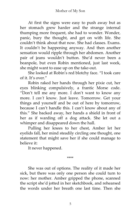At first the signs were easy to push away but as her stomach grew harder and the strange internal thumping more frequent, she had to wonder. Wonder, panic, bury the thought, and get on with life. She couldn't think about that now. She had classes. Exams. It couldn't be happening anyway. And then another sensation would ripple through her abdomen. Another pair of jeans wouldn't button. She'd never been a beanpole, but even Robin mentioned, just last week, she might want to ease up on the take-out.

She looked at Robin's red blotchy face. 'I took care of it. It's over."

Robin raked her hands through her pixie cut, her eyes blinking compulsively, a frantic Morse code. 'Don't tell me any more. I don't want to know any more. I *can't* know. Just leave. Tomorrow. Get your things and yourself and be out of here by tomorrow, because I can't handle this. I can't know about any of this.' She backed away, her hands a shield in front of her as if warding off a dog attack. She let out a whimper and disappeared down the hall.

Pulling her knees to her chest, Amber let her eyelids fall, her mind steadily circling one thought, one statement that might save her if she could manage to believe it:

It never happened.

\*\*\*\*

She was out of options. The reality of it made her sick, but there was only one person she could turn to now: her mother. Amber gripped the phone, scanned the script she'd jotted in her sketchbook, and rehearsed the words under her breath one last time. Then she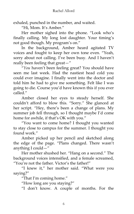exhaled, punched in the number, and waited.

'Hi, Mom. It's Amber.'

Her mother sighed into the phone. 'Look who's finally calling. My long lost daughter. Your timing's not good though. My program's on.'

In the background, Amber heard agitated TV voices and fought to keep her own tone even. 'Yeah, sorry about not calling. I've been busy. And I haven't really been feeling that great—'

'*You* haven't been feeling great? You should have seen me last week. Had the nastiest head cold you could ever imagine. I finally went into the doctor and told him he had to give me something. Felt like I was going to die. Course you'd have known this if you ever called.'

Amber closed her eyes to steady herself. She couldn't afford to blow this. 'Sorry.' She glanced at her script. 'Hey, there's been a change of plans. My summer job fell through, so I thought maybe I'd come home for awhile, if that's OK with you.'

'You want to come home? I thought you wanted to stay close to campus for the summer. I thought you found work"

Amber picked up her pencil and sketched along the edge of the page. 'Plans changed. There wasn't anything I could—'

Her mother shushed her. "Hang on a second." The background voices intensified, and a female screamed, 'You're not the father. Victor's the father!'

'I knew it,' her mother said. 'What were you saying?'

'That I'm coming home.'

'How long are you staying?'

'I don't know. A couple of months. For the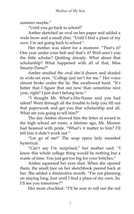summer maybe.'

'Until you go back to school?'

Amber sketched an oval on her paper and added a wide brow and a small chin. "Until I find a place of my own. I'm not going back to school.'

Her mother was silent for a moment. "That's it? One year under your belt and that's it? Well aren't you the little scholar? Quitting already. What about that scholarship? What happened with all of that, Miss Smarty-Pants?'

Amber studied the oval she'd drawn and shaded in wide-set eyes. 'College just isn't for me.' Her voice almost broke under the lie. She swallowed hard. 'It's better that I figure that out now than sometime next year, right? I just don't belong here.'

'I thought Mr. What's-His-Name said you had talent? Went through all the trouble to help you fill out that paperwork and get you that scholarship and all. What are you going to tell him?"

The day Amber showed him the letter of award in the high school art room, a lifetime ago, Mr. Morton had beamed with pride. 'What's it matter to him? I'll tell him it didn't work out.'

'Let go of me!' The soap opera lady sounded hysterical.

'Can't say I'm surprised,' her mother said. 'I knew this whole college thing would be nothing but a waste of time. You just got too big for your britches."

Amber squeezed her eyes shut. When she opened them, the small face on her sketchbook peered back at her. She added a diminutive mouth. 'I'm not planning on staying long. Just until I find a place of my own. So, I'll see you tomorrow?'

Her mom chuckled. 'I'll be sure to roll out the red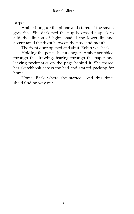carpet.'

Amber hung up the phone and stared at the small, gray face. She darkened the pupils, erased a speck to add the illusion of light, shaded the lower lip and accentuated the divot between the nose and mouth.

The front door opened and shut. Robin was back.

Holding the pencil like a dagger, Amber scribbled through the drawing, tearing through the paper and leaving pockmarks on the page behind it. She tossed her sketchbook across the bed and started packing for home.

Home. Back where she started. And this time, she'd find no way out.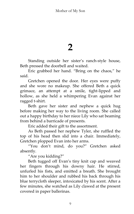### **2**

Standing outside her sister's ranch-style house, Beth pressed the doorbell and waited.

Eric grabbed her hand. 'Bring on the chaos,' he said.

Gretchen opened the door. Her eyes were puffy and she wore no makeup. She offered Beth a quick grimace, an attempt at a smile, tight-lipped and hollow, as she held a whimpering Evan against her ragged t-shirt.

Beth gave her sister and nephew a quick hug before making her way to the living room. She called out a happy birthday to her niece Lily who sat beaming from behind a barricade of presents.

Eric added their gift to the assortment.

As Beth passed her nephew Tyler, she ruffled the top of his head then slid into a chair. Immediately, Gretchen plopped Evan into her arms.

'You don't mind, do you?' Gretchen asked absently.

"Are you kidding?"

Beth tugged off Evan's tiny knit cap and weaved her fingers through his downy hair. He stirred, unfurled his fists, and emitted a breath. She brought him to her shoulder and rubbed his back through his blue terrycloth sleeper, intoxicated by his scent. After a few minutes, she watched as Lily clawed at the present covered in paper ballerinas.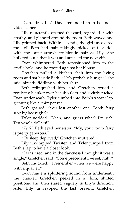'Card first, Lil,' Dave reminded from behind a video camera.

Lily reluctantly opened the card, regarded it with apathy, and glanced around the room. Beth waved and Lily grinned back. Within seconds, the girl uncovered the doll Beth had painstakingly picked out—a doll with the same strawberry-blonde hair as Lily. She hollered out a thank you and attacked the next gift.

Evan whimpered. Beth repositioned him to the cradle hold, and he rooted against her blouse.

Gretchen pulled a kitchen chair into the living room and sat beside Beth. 'He's probably hungry,' she said, already fiddling with her shirt.

Beth relinquished him, and Gretchen tossed a receiving blanket over her shoulder and swiftly tucked Evan underneath. Tyler climbed into Beth's vacant lap, grinning like a chimpanzee.

Beth gasped. 'You lost another one! Tooth fairy stop by last night?'

Tyler nodded. 'Yeah, and guess what? I'm rich! Ten whole dollars!'

'*Ten*?' Beth eyed her sister. 'My, your tooth fairy is pretty generous.'

'Or sleep deprived,' Gretchen muttered.

Lily unwrapped Twister*,* and Tyler jumped from Beth's lap to have a closer look.

'I was tired, and in the darkness I thought it was a single," Gretchen said. "Some precedent I've set, huh?"

Beth chuckled. 'I remember when we were happy with a quarter."

Evan made a spluttering sound from underneath the blanket. Gretchen peeked in at him, shifted positions, and then stared vaguely in Lily's direction. After Lily unwrapped the last present, Gretchen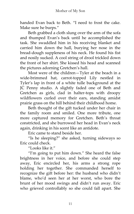handed Evan back to Beth. 'I need to frost the cake. Make sure he burps.'

Beth grabbed a cloth slung over the arm of the sofa and thumped Evan's back until he accomplished the task. She swaddled him in his receiving blanket and carried him down the hall, burying her nose in the bread-dough suppleness of his neck. He found his fist and nosily sucked. A cool string of drool trickled down the front of her shirt. She kissed his head and scanned the pictures adorning Gretchen's hall.

Most were of the children—Tyler at the beach in a wide-brimmed hat, carrot-topped Lily nestled in Tyler's lap in front of a white tulle background at the JC Penny studio. A slightly faded one of Beth and Gretchen as girls, clad in halter-tops with droopy wildflowers curled over their ears, standing amidst prairie grass on the hill behind their childhood home.

Beth thought of the gift tucked under her chair in the family room and smiled. One more tribute, one more captured memory for Gretchen. Beth's throat constricted, and she burrowed her head in Evan's neck again, drinking in his scent like an antidote.

Eric came to stand beside her.

'Is he sleeping?' she asked, turning sideways so Eric could check.

'Looks like it.'

'I'm going to put him down.' She heard the false brightness in her voice, and before she could step away, Eric encircled her, his arms a strong rope holding her together. She commanded herself to recognize the gift before her: the husband who didn't blame, who'd seen her at her worst, who bore the brunt of her mood swings and didn't run away. Eric who grieved controllably so she could fall apart. She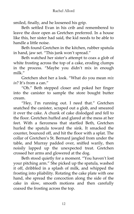smiled, finally, and he loosened his grip.

Beth settled Evan in his crib and remembered to leave the door open as Gretchen preferred. In a house like this, her sister had said, the kid needs to be able to handle a little noise.

Beth found Gretchen in the kitchen, rubber spatula in hand, jaw set. "This junk won't spread."

Beth watched her sister's attempt to coax a glob of white frosting across the top of a cake, eroding clumps in the process. 'Maybe you didn't mix in enough milk"

Gretchen shot her a look. 'What do you mean *mix in*? It's from a can.'

'Oh.' Beth stepped closer and poked her finger into the canister to sample the store bought butter cream.

'Hey, I'm running out. I need that.' Gretchen snatched the canister, scraped out a glob, and smeared it over the cake. A chunk of cake dislodged and fell to the floor. Gretchen huffed and glared at the mess at her feet. With a fierceness that startled Beth, Gretchen hurled the spatula toward the sink. It smacked the counter, bounced off, and hit the floor with a splat. The collar of Gretchen's St. Bernard jangled from under the table, and Murray padded over, sniffed warily, then noisily lapped up the unexpected treat. Gretchen crossed her arms and glowered at the dog.

Beth stood quietly for a moment. 'You haven't lost your pitching arm.' She picked up the spatula, washed it off, dribbled in a splash of milk, and whipped the frosting into pliability. Rotating the cake plate with one hand, she spread the concoction along the side of the cake in slow, smooth motions and then carefully coaxed the frosting across the top.